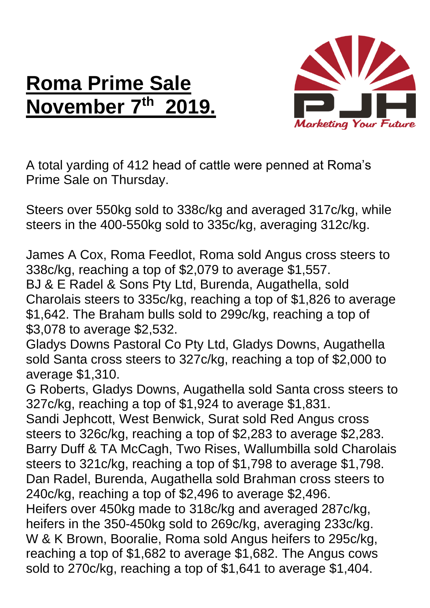## **Roma Prime Sale November 7<sup>th</sup>**



A total yarding of 412 head of cattle were penned at Roma's Prime Sale on Thursday.

Steers over 550kg sold to 338c/kg and averaged 317c/kg, while steers in the 400-550kg sold to 335c/kg, averaging 312c/kg.

James A Cox, Roma Feedlot, Roma sold Angus cross steers to 338c/kg, reaching a top of \$2,079 to average \$1,557. BJ & E Radel & Sons Pty Ltd, Burenda, Augathella, sold Charolais steers to 335c/kg, reaching a top of \$1,826 to average \$1,642. The Braham bulls sold to 299c/kg, reaching a top of \$3,078 to average \$2,532.

Gladys Downs Pastoral Co Pty Ltd, Gladys Downs, Augathella sold Santa cross steers to 327c/kg, reaching a top of \$2,000 to average \$1,310.

G Roberts, Gladys Downs, Augathella sold Santa cross steers to 327c/kg, reaching a top of \$1,924 to average \$1,831. Sandi Jephcott, West Benwick, Surat sold Red Angus cross steers to 326c/kg, reaching a top of \$2,283 to average \$2,283. Barry Duff & TA McCagh, Two Rises, Wallumbilla sold Charolais steers to 321c/kg, reaching a top of \$1,798 to average \$1,798. Dan Radel, Burenda, Augathella sold Brahman cross steers to 240c/kg, reaching a top of \$2,496 to average \$2,496. Heifers over 450kg made to 318c/kg and averaged 287c/kg, heifers in the 350-450kg sold to 269c/kg, averaging 233c/kg. W & K Brown, Booralie, Roma sold Angus heifers to 295c/kg, reaching a top of \$1,682 to average \$1,682. The Angus cows sold to 270c/kg, reaching a top of \$1,641 to average \$1,404.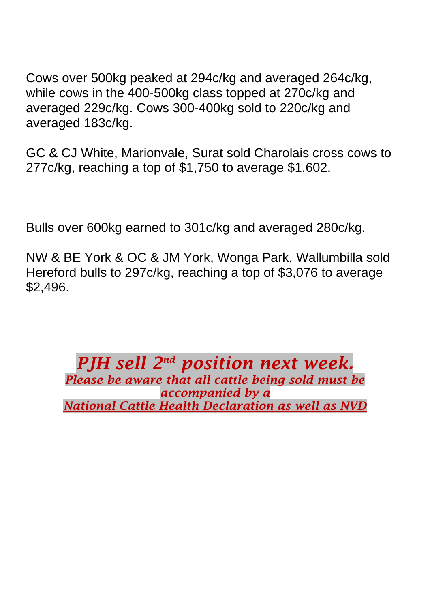Cows over 500kg peaked at 294c/kg and averaged 264c/kg, while cows in the 400-500kg class topped at 270c/kg and averaged 229c/kg. Cows 300-400kg sold to 220c/kg and averaged 183c/kg.

GC & CJ White, Marionvale, Surat sold Charolais cross cows to 277c/kg, reaching a top of \$1,750 to average \$1,602.

Bulls over 600kg earned to 301c/kg and averaged 280c/kg.

NW & BE York & OC & JM York, Wonga Park, Wallumbilla sold Hereford bulls to 297c/kg, reaching a top of \$3,076 to average \$2,496.

*PJH sell*  $2^{nd}$  position next week. *Please be aware that all cattle being sold must be accompanied by a National Cattle Health Declaration as well as NVD*